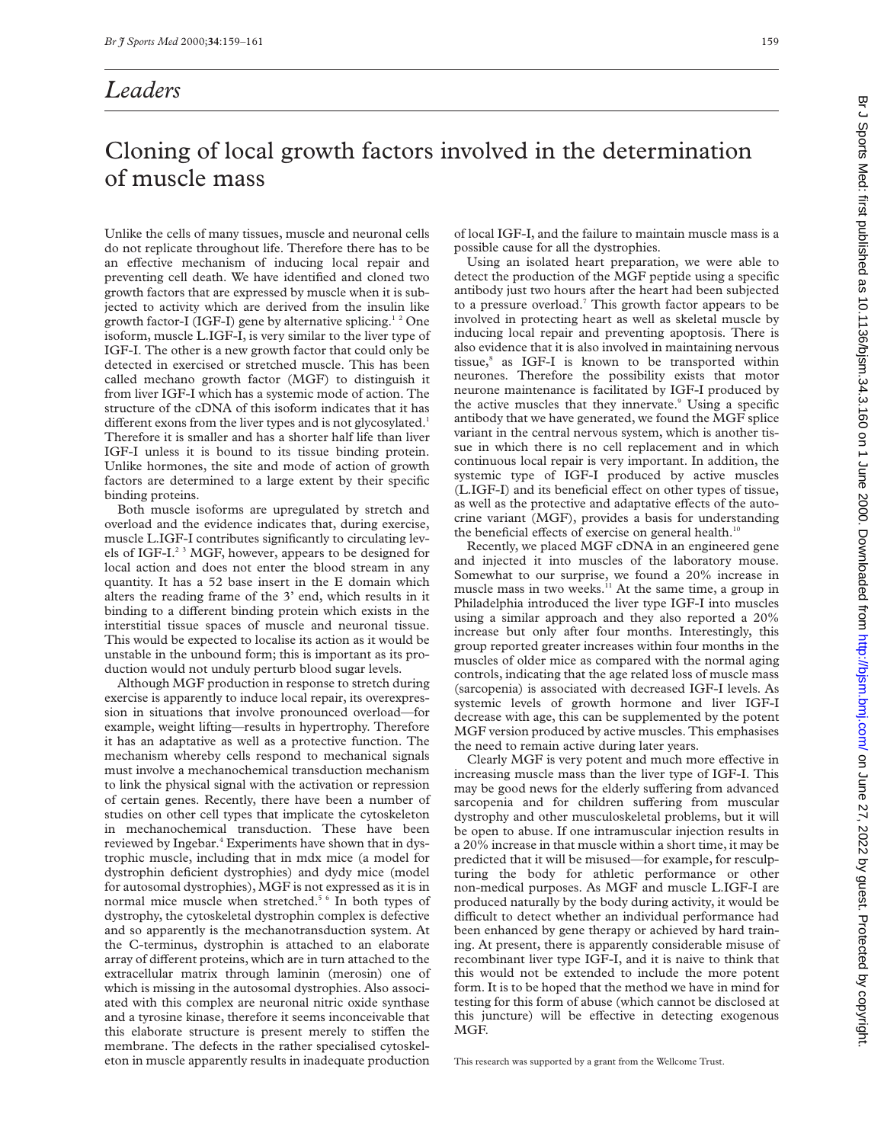#### *Leaders*

# Cloning of local growth factors involved in the determination of muscle mass

Unlike the cells of many tissues, muscle and neuronal cells do not replicate throughout life. Therefore there has to be an effective mechanism of inducing local repair and preventing cell death. We have identified and cloned two growth factors that are expressed by muscle when it is subjected to activity which are derived from the insulin like growth factor-I (IGF-I) gene by alternative splicing.<sup>12</sup> One isoform, muscle L.IGF-I, is very similar to the liver type of IGF-I. The other is a new growth factor that could only be detected in exercised or stretched muscle. This has been called mechano growth factor (MGF) to distinguish it from liver IGF-I which has a systemic mode of action. The structure of the cDNA of this isoform indicates that it has different exons from the liver types and is not glycosylated.<sup>1</sup> Therefore it is smaller and has a shorter half life than liver IGF-I unless it is bound to its tissue binding protein. Unlike hormones, the site and mode of action of growth factors are determined to a large extent by their specific binding proteins.

Both muscle isoforms are upregulated by stretch and overload and the evidence indicates that, during exercise, muscle L.IGF-I contributes significantly to circulating levels of IGF-I.<sup>23</sup> MGF, however, appears to be designed for local action and does not enter the blood stream in any quantity. It has a 52 base insert in the E domain which alters the reading frame of the 3' end, which results in it binding to a different binding protein which exists in the interstitial tissue spaces of muscle and neuronal tissue. This would be expected to localise its action as it would be unstable in the unbound form; this is important as its production would not unduly perturb blood sugar levels.

Although MGF production in response to stretch during exercise is apparently to induce local repair, its overexpression in situations that involve pronounced overload—for example, weight lifting—results in hypertrophy. Therefore it has an adaptative as well as a protective function. The mechanism whereby cells respond to mechanical signals must involve a mechanochemical transduction mechanism to link the physical signal with the activation or repression of certain genes. Recently, there have been a number of studies on other cell types that implicate the cytoskeleton in mechanochemical transduction. These have been reviewed by Ingebar.<sup>4</sup> Experiments have shown that in dystrophic muscle, including that in mdx mice (a model for dystrophin deficient dystrophies) and dydy mice (model for autosomal dystrophies), MGF is not expressed as it is in normal mice muscle when stretched.<sup>5 6</sup> In both types of dystrophy, the cytoskeletal dystrophin complex is defective and so apparently is the mechanotransduction system. At the C-terminus, dystrophin is attached to an elaborate array of different proteins, which are in turn attached to the extracellular matrix through laminin (merosin) one of which is missing in the autosomal dystrophies. Also associated with this complex are neuronal nitric oxide synthase and a tyrosine kinase, therefore it seems inconceivable that this elaborate structure is present merely to stiffen the membrane. The defects in the rather specialised cytoskeleton in muscle apparently results in inadequate production

of local IGF-I, and the failure to maintain muscle mass is a possible cause for all the dystrophies.

Using an isolated heart preparation, we were able to detect the production of the MGF peptide using a specific antibody just two hours after the heart had been subjected to a pressure overload.7 This growth factor appears to be involved in protecting heart as well as skeletal muscle by inducing local repair and preventing apoptosis. There is also evidence that it is also involved in maintaining nervous tissue,<sup>8</sup> as IGF-I is known to be transported within neurones. Therefore the possibility exists that motor neurone maintenance is facilitated by IGF-I produced by the active muscles that they innervate.<sup>9</sup> Using a specific antibody that we have generated, we found the MGF splice variant in the central nervous system, which is another tissue in which there is no cell replacement and in which continuous local repair is very important. In addition, the systemic type of IGF-I produced by active muscles (L.IGF-I) and its beneficial effect on other types of tissue, as well as the protective and adaptative effects of the autocrine variant (MGF), provides a basis for understanding the beneficial effects of exercise on general health.<sup>10</sup>

Recently, we placed MGF cDNA in an engineered gene and injected it into muscles of the laboratory mouse. Somewhat to our surprise, we found a 20% increase in muscle mass in two weeks.<sup>11</sup> At the same time, a group in Philadelphia introduced the liver type IGF-I into muscles using a similar approach and they also reported a 20% increase but only after four months. Interestingly, this group reported greater increases within four months in the muscles of older mice as compared with the normal aging controls, indicating that the age related loss of muscle mass (sarcopenia) is associated with decreased IGF-I levels. As systemic levels of growth hormone and liver IGF-I decrease with age, this can be supplemented by the potent MGF version produced by active muscles. This emphasises the need to remain active during later years.

Clearly MGF is very potent and much more effective in increasing muscle mass than the liver type of IGF-I. This may be good news for the elderly suffering from advanced sarcopenia and for children suffering from muscular dystrophy and other musculoskeletal problems, but it will be open to abuse. If one intramuscular injection results in a 20% increase in that muscle within a short time, it may be predicted that it will be misused—for example, for resculpturing the body for athletic performance or other non-medical purposes. As MGF and muscle L.IGF-I are produced naturally by the body during activity, it would be difficult to detect whether an individual performance had been enhanced by gene therapy or achieved by hard training. At present, there is apparently considerable misuse of recombinant liver type IGF-I, and it is naive to think that this would not be extended to include the more potent form. It is to be hoped that the method we have in mind for testing for this form of abuse (which cannot be disclosed at this juncture) will be effective in detecting exogenous MGF.

This research was supported by a grant from the Wellcome Trust.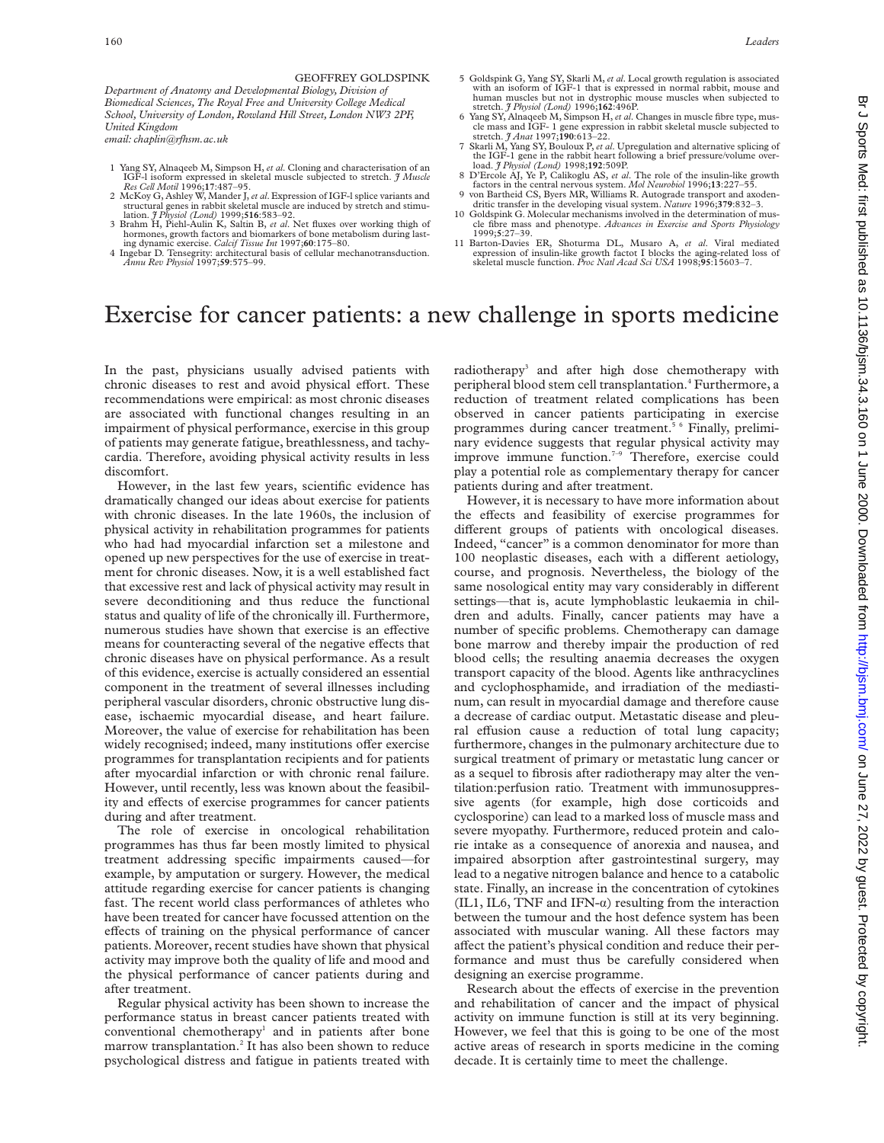#### GEOFFREY GOLDSPINK

*Department of Anatomy and Developmental Biology, Division of Biomedical Sciences, The Royal Free and University College Medical School, University of London, Rowland Hill Street, London NW3 2PF, United Kingdom email: chaplin@rfhsm.ac.uk*

- 1 Yang SY, Alnaqeeb M, Simpson H, *et al*. Cloning and characterisation of an IGF-l isoform expressed in skeletal muscle subjected to stretch. *J Muscle*
- 2 McKoy G, Ashley W, Mander J, *et al.* Expression of IGF-l splice variants and structural genes in rabbit skeletal muscle are induced by stretch and stimulation. *J Physiol (Lond)* 1999;**516**:583–92. 3 Brahm H, Piehl-Aulin K, Saltin B, *et al*. Net fluxes over working thigh of
- hormones, growth factors and biomarkers of bone metabolism during lasting dynamic exercise. *Calcif Tissue Int* 1997;**60**:175–80.
- 4 Ingebar D. Tensegrity: architectural basis of cellular mechanotransduction. *Annu Rev Physiol* 1997;**59**:575–99.
- 5 Goldspink G, Yang SY, Skarli M, *et al*. Local growth regulation is associated with an isoform of IGF-1 that is expressed in normal rabbit, mouse and human muscles but not in dystrophic mouse muscles when subjected to stretch. *J Physiol (Lond)* 1996;**162**:496P.
- 6 Yang SY, Alnaqeeb M, Simpson H,*et al*. Changes in muscle fibre type, mus-cle mass and IGF- 1 gene expression in rabbit skeletal muscle subjected to stretch. *J Anat* 1997;**190**:613–22.
- 7 Skarli M, Yang SY, Bouloux P, *et al*. Upregulation and alternative splicing of the IGF-1 gene in the rabbit heart following a brief pressure/volume overload. *J Physiol (Lond)* 1998;**192**:509P.
- 8 D'Ercole AJ, Ye P, Calikoglu AS, *et al*. The role of the insulin-like growth factors in the central nervous system. *Mol Neurobiol* 1996;**13**:227–55. 9 von Bartheid CS, Byers MR, Williams R. Autograde transport and axoden-
- dritic transfer in the developing visual system. *Nature* 1996;**379**:832–3. 10 Goldspink G. Molecular mechanisms involved in the determination of muscle fibre mass and phenotype. *Advances in Exercise and Sports Physiology*
- 1999;**5**:27–39. 11 Barton-Davies ER, Shoturma DL, Musaro A, *et al*. Viral mediated expression of insulin-like growth factot I blocks the aging-related loss of skeletal muscle function. *Proc Natl Acad Sci USA* 1998;**95**:15603–7.

### Exercise for cancer patients: a new challenge in sports medicine

In the past, physicians usually advised patients with chronic diseases to rest and avoid physical effort. These recommendations were empirical: as most chronic diseases are associated with functional changes resulting in an impairment of physical performance, exercise in this group of patients may generate fatigue, breathlessness, and tachycardia. Therefore, avoiding physical activity results in less discomfort.

However, in the last few years, scientific evidence has dramatically changed our ideas about exercise for patients with chronic diseases. In the late 1960s, the inclusion of physical activity in rehabilitation programmes for patients who had had myocardial infarction set a milestone and opened up new perspectives for the use of exercise in treatment for chronic diseases. Now, it is a well established fact that excessive rest and lack of physical activity may result in severe deconditioning and thus reduce the functional status and quality of life of the chronically ill. Furthermore, numerous studies have shown that exercise is an effective means for counteracting several of the negative effects that chronic diseases have on physical performance. As a result of this evidence, exercise is actually considered an essential component in the treatment of several illnesses including peripheral vascular disorders, chronic obstructive lung disease, ischaemic myocardial disease, and heart failure. Moreover, the value of exercise for rehabilitation has been widely recognised; indeed, many institutions offer exercise programmes for transplantation recipients and for patients after myocardial infarction or with chronic renal failure. However, until recently, less was known about the feasibility and effects of exercise programmes for cancer patients during and after treatment.

The role of exercise in oncological rehabilitation programmes has thus far been mostly limited to physical treatment addressing specific impairments caused—for example, by amputation or surgery. However, the medical attitude regarding exercise for cancer patients is changing fast. The recent world class performances of athletes who have been treated for cancer have focussed attention on the effects of training on the physical performance of cancer patients. Moreover, recent studies have shown that physical activity may improve both the quality of life and mood and the physical performance of cancer patients during and after treatment.

Regular physical activity has been shown to increase the performance status in breast cancer patients treated with conventional chemotherapy<sup>1</sup> and in patients after bone marrow transplantation.<sup>2</sup> It has also been shown to reduce psychological distress and fatigue in patients treated with

radiotherapy<sup>3</sup> and after high dose chemotherapy with peripheral blood stem cell transplantation.<sup>4</sup> Furthermore, a reduction of treatment related complications has been observed in cancer patients participating in exercise programmes during cancer treatment.<sup>5 6</sup> Finally, preliminary evidence suggests that regular physical activity may improve immune function.<sup>7-9</sup> Therefore, exercise could play a potential role as complementary therapy for cancer patients during and after treatment.

However, it is necessary to have more information about the effects and feasibility of exercise programmes for different groups of patients with oncological diseases. Indeed, "cancer" is a common denominator for more than 100 neoplastic diseases, each with a different aetiology, course, and prognosis. Nevertheless, the biology of the same nosological entity may vary considerably in different settings—that is, acute lymphoblastic leukaemia in children and adults. Finally, cancer patients may have a number of specific problems. Chemotherapy can damage bone marrow and thereby impair the production of red blood cells; the resulting anaemia decreases the oxygen transport capacity of the blood. Agents like anthracyclines and cyclophosphamide, and irradiation of the mediastinum, can result in myocardial damage and therefore cause a decrease of cardiac output. Metastatic disease and pleural effusion cause a reduction of total lung capacity; furthermore, changes in the pulmonary architecture due to surgical treatment of primary or metastatic lung cancer or as a sequel to fibrosis after radiotherapy may alter the ventilation:perfusion ratio. Treatment with immunosuppressive agents (for example, high dose corticoids and cyclosporine) can lead to a marked loss of muscle mass and severe myopathy. Furthermore, reduced protein and calorie intake as a consequence of anorexia and nausea, and impaired absorption after gastrointestinal surgery, may lead to a negative nitrogen balance and hence to a catabolic state. Finally, an increase in the concentration of cytokines (IL1, IL6, TNF and IFN- $\alpha$ ) resulting from the interaction between the tumour and the host defence system has been associated with muscular waning. All these factors may affect the patient's physical condition and reduce their performance and must thus be carefully considered when designing an exercise programme.

Research about the effects of exercise in the prevention and rehabilitation of cancer and the impact of physical activity on immune function is still at its very beginning. However, we feel that this is going to be one of the most active areas of research in sports medicine in the coming decade. It is certainly time to meet the challenge.